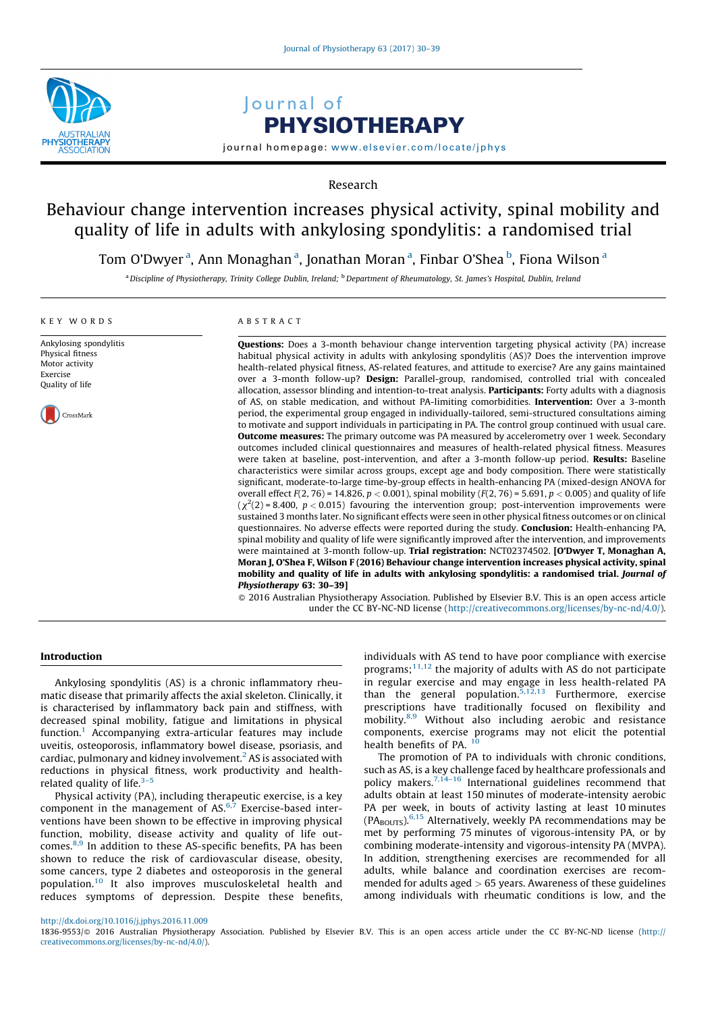

# Journal of PHYSIOTHERAPY

journal homepage: <www.elsevier.com/locate/jphys>

Research

## Behaviour change intervention increases physical activity, spinal mobility and quality of life in adults with ankylosing spondylitis: a randomised trial

Tom O'Dwyer <sup>a</sup>, Ann Monaghan <sup>a</sup>, Jonathan Moran <sup>a</sup>, Finbar O'Shea <sup>b</sup>, Fiona Wilson <sup>a</sup>

a Discipline of Physiotherapy, Trinity College Dublin, Ireland; <sup>b</sup> Department of Rheumatology, St. James's Hospital, Dublin, Ireland

#### KEY WORDS

Ankylosing spondylitis Physical fitness Motor activity Exercise Quality of life



ABSTRACT

Questions: Does a 3-month behaviour change intervention targeting physical activity (PA) increase habitual physical activity in adults with ankylosing spondylitis (AS)? Does the intervention improve health-related physical fitness, AS-related features, and attitude to exercise? Are any gains maintained over a 3-month follow-up? Design: Parallel-group, randomised, controlled trial with concealed allocation, assessor blinding and intention-to-treat analysis. Participants: Forty adults with a diagnosis of AS, on stable medication, and without PA-limiting comorbidities. Intervention: Over a 3-month period, the experimental group engaged in individually-tailored, semi-structured consultations aiming to motivate and support individuals in participating in PA. The control group continued with usual care. **Outcome measures:** The primary outcome was PA measured by accelerometry over 1 week. Secondary outcomes included clinical questionnaires and measures of health-related physical fitness. Measures were taken at baseline, post-intervention, and after a 3-month follow-up period. Results: Baseline characteristics were similar across groups, except age and body composition. There were statistically significant, moderate-to-large time-by-group effects in health-enhancing PA (mixed-design ANOVA for overall effect  $F(2, 76) = 14.826$ ,  $p < 0.001$ ), spinal mobility  $(F(2, 76) = 5.691$ ,  $p < 0.005$ ) and quality of life  $(\chi^2(2)$  = 8.400, p < 0.015) favouring the intervention group; post-intervention improvements were sustained 3 months later. No significant effects were seen in other physical fitness outcomes or on clinical questionnaires. No adverse effects were reported during the study. Conclusion: Health-enhancing PA, spinal mobility and quality of life were significantly improved after the intervention, and improvements were maintained at 3-month follow-up. Trial registration: NCT02374502. [O'Dwyer T, Monaghan A, Moran J, O'Shea F, Wilson F (2016) Behaviour change intervention increases physical activity, spinal mobility and quality of life in adults with ankylosing spondylitis: a randomised trial. Journal of Physiotherapy 63: 30–39]

- 2016 Australian Physiotherapy Association. Published by Elsevier B.V. This is an open access article under the CC BY-NC-ND license (<http://creativecommons.org/licenses/by-nc-nd/4.0/>).

## Introduction

Ankylosing spondylitis (AS) is a chronic inflammatory rheumatic disease that primarily affects the axial skeleton. Clinically, it is characterised by inflammatory back pain and stiffness, with decreased spinal mobility, fatigue and limitations in physical function.[1](#page-8-0) Accompanying extra-articular features may include uveitis, osteoporosis, inflammatory bowel disease, psoriasis, and cardiac, pulmonary and kidney involvement.<sup>[2](#page-8-0)</sup> AS is associated with reductions in physical fitness, work productivity and healthrelated quality of life. $3-5$ 

Physical activity (PA), including therapeutic exercise, is a key component in the management of  $AS^{6,7}$  $AS^{6,7}$  $AS^{6,7}$  Exercise-based interventions have been shown to be effective in improving physical function, mobility, disease activity and quality of life outcomes.[8,9](#page-8-0) In addition to these AS-specific benefits, PA has been shown to reduce the risk of cardiovascular disease, obesity, some cancers, type 2 diabetes and osteoporosis in the general population.[10](#page-8-0) It also improves musculoskeletal health and reduces symptoms of depression. Despite these benefits, individuals with AS tend to have poor compliance with exercise programs;<sup>[11,12](#page-8-0)</sup> the majority of adults with AS do not participate in regular exercise and may engage in less health-related PA than the general population.<sup>[5,12,13](#page-8-0)</sup> Furthermore, exercise prescriptions have traditionally focused on flexibility and mobility.[8,9](#page-8-0) Without also including aerobic and resistance components, exercise programs may not elicit the potential health benefits of PA.  $10$ 

The promotion of PA to individuals with chronic conditions, such as AS, is a key challenge faced by healthcare professionals and policy makers. $7,14-16$  International guidelines recommend that adults obtain at least 150 minutes of moderate-intensity aerobic PA per week, in bouts of activity lasting at least 10 minutes  $(PA_{\text{BOUTS}})$ .<sup>[6,15](#page-8-0)</sup> Alternatively, weekly PA recommendations may be met by performing 75 minutes of vigorous-intensity PA, or by combining moderate-intensity and vigorous-intensity PA (MVPA). In addition, strengthening exercises are recommended for all adults, while balance and coordination exercises are recommended for adults aged  $> 65$  years. Awareness of these guidelines among individuals with rheumatic conditions is low, and the

<sup>1836-9553/@ 2016</sup> Australian Physiotherapy Association. Published by Elsevier B.V. This is an open access article under the CC BY-NC-ND license ([http://](http://creativecommons.org/licenses/by-nc-nd/4.0/) [creativecommons.org/licenses/by-nc-nd/4.0/](http://creativecommons.org/licenses/by-nc-nd/4.0/)).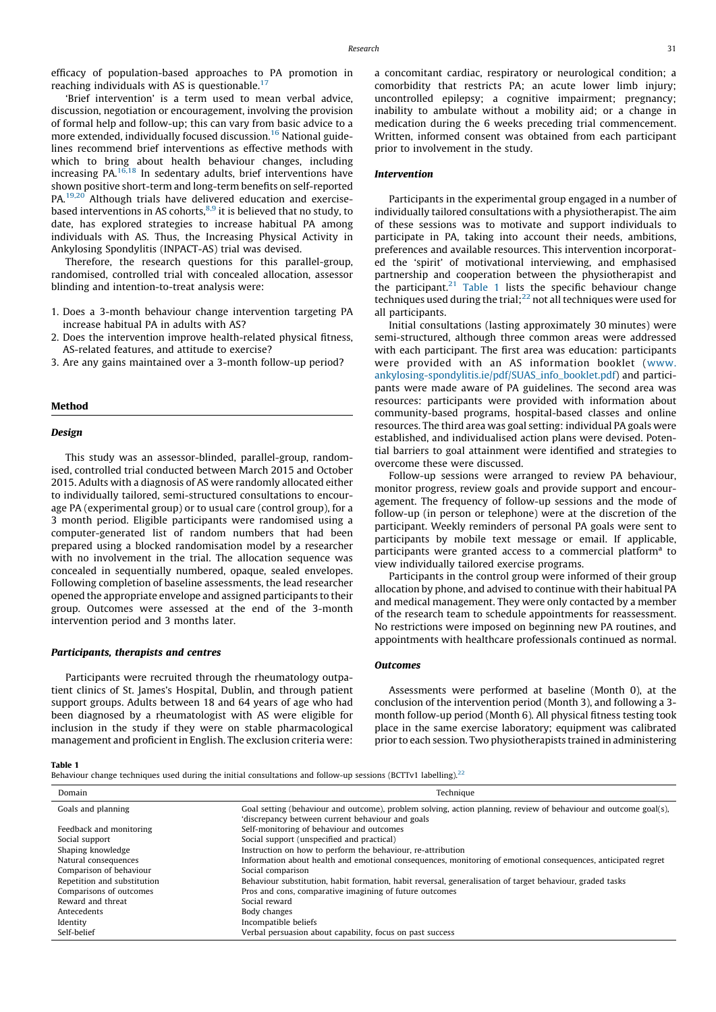efficacy of population-based approaches to PA promotion in reaching individuals with AS is questionable.<sup>[17](#page-8-0)</sup>

'Brief intervention' is a term used to mean verbal advice, discussion, negotiation or encouragement, involving the provision of formal help and follow-up; this can vary from basic advice to a more extended, individually focused discussion.<sup>[16](#page-8-0)</sup> National guidelines recommend brief interventions as effective methods with which to bring about health behaviour changes, including increasing PA. $16,18$  In sedentary adults, brief interventions have shown positive short-term and long-term benefits on self-reported PA.[19,20](#page-8-0) Although trials have delivered education and exercise-based interventions in AS cohorts,<sup>[8,9](#page-8-0)</sup> it is believed that no study, to date, has explored strategies to increase habitual PA among individuals with AS. Thus, the Increasing Physical Activity in Ankylosing Spondylitis (INPACT-AS) trial was devised.

Therefore, the research questions for this parallel-group, randomised, controlled trial with concealed allocation, assessor blinding and intention-to-treat analysis were:

- 1. Does a 3-month behaviour change intervention targeting PA increase habitual PA in adults with AS?
- 2. Does the intervention improve health-related physical fitness, AS-related features, and attitude to exercise?
- 3. Are any gains maintained over a 3-month follow-up period?

#### Method

#### Design

This study was an assessor-blinded, parallel-group, randomised, controlled trial conducted between March 2015 and October 2015. Adults with a diagnosis of AS were randomly allocated either to individually tailored, semi-structured consultations to encourage PA (experimental group) or to usual care (control group), for a 3 month period. Eligible participants were randomised using a computer-generated list of random numbers that had been prepared using a blocked randomisation model by a researcher with no involvement in the trial. The allocation sequence was concealed in sequentially numbered, opaque, sealed envelopes. Following completion of baseline assessments, the lead researcher opened the appropriate envelope and assigned participants to their group. Outcomes were assessed at the end of the 3-month intervention period and 3 months later.

#### Participants, therapists and centres

Participants were recruited through the rheumatology outpatient clinics of St. James's Hospital, Dublin, and through patient support groups. Adults between 18 and 64 years of age who had been diagnosed by a rheumatologist with AS were eligible for inclusion in the study if they were on stable pharmacological management and proficient in English. The exclusion criteria were: a concomitant cardiac, respiratory or neurological condition; a comorbidity that restricts PA; an acute lower limb injury; uncontrolled epilepsy; a cognitive impairment; pregnancy; inability to ambulate without a mobility aid; or a change in medication during the 6 weeks preceding trial commencement. Written, informed consent was obtained from each participant prior to involvement in the study.

#### Intervention

Participants in the experimental group engaged in a number of individually tailored consultations with a physiotherapist. The aim of these sessions was to motivate and support individuals to participate in PA, taking into account their needs, ambitions, preferences and available resources. This intervention incorporated the 'spirit' of motivational interviewing, and emphasised partnership and cooperation between the physiotherapist and the participant. $21$  Table 1 lists the specific behaviour change techniques used during the trial; $^{22}$  not all techniques were used for all participants.

Initial consultations (lasting approximately 30 minutes) were semi-structured, although three common areas were addressed with each participant. The first area was education: participants were provided with an AS information booklet ([www.](http://www.ankylosing-spondylitis.ie/pdf/SUAS_info_booklet.pdf) [ankylosing-spondylitis.ie/pdf/SUAS\\_info\\_booklet.pdf\)](http://www.ankylosing-spondylitis.ie/pdf/SUAS_info_booklet.pdf) and participants were made aware of PA guidelines. The second area was resources: participants were provided with information about community-based programs, hospital-based classes and online resources. The third area was goal setting: individual PA goals were established, and individualised action plans were devised. Potential barriers to goal attainment were identified and strategies to overcome these were discussed.

Follow-up sessions were arranged to review PA behaviour, monitor progress, review goals and provide support and encouragement. The frequency of follow-up sessions and the mode of follow-up (in person or telephone) were at the discretion of the participant. Weekly reminders of personal PA goals were sent to participants by mobile text message or email. If applicable, participants were granted access to a commercial platform<sup>a</sup> to view individually tailored exercise programs.

Participants in the control group were informed of their group allocation by phone, and advised to continue with their habitual PA and medical management. They were only contacted by a member of the research team to schedule appointments for reassessment. No restrictions were imposed on beginning new PA routines, and appointments with healthcare professionals continued as normal.

## **Outcomes**

Assessments were performed at baseline (Month 0), at the conclusion of the intervention period (Month 3), and following a 3 month follow-up period (Month 6). All physical fitness testing took place in the same exercise laboratory; equipment was calibrated prior to each session. Two physiotherapists trained in administering

#### Table 1

Behaviour change techniques used during the initial consultations and follow-up sessions (BCTTv1 labelling).<sup>[22](#page-8-0)</sup>

| Domain                      | Technique                                                                                                        |
|-----------------------------|------------------------------------------------------------------------------------------------------------------|
| Goals and planning          | Goal setting (behaviour and outcome), problem solving, action planning, review of behaviour and outcome goal(s), |
|                             | 'discrepancy between current behaviour and goals                                                                 |
| Feedback and monitoring     | Self-monitoring of behaviour and outcomes                                                                        |
| Social support              | Social support (unspecified and practical)                                                                       |
| Shaping knowledge           | Instruction on how to perform the behaviour, re-attribution                                                      |
| Natural consequences        | Information about health and emotional consequences, monitoring of emotional consequences, anticipated regret    |
| Comparison of behaviour     | Social comparison                                                                                                |
| Repetition and substitution | Behaviour substitution, habit formation, habit reversal, generalisation of target behaviour, graded tasks        |
| Comparisons of outcomes     | Pros and cons, comparative imagining of future outcomes                                                          |
| Reward and threat           | Social reward                                                                                                    |
| Antecedents                 | Body changes                                                                                                     |
| Identity                    | Incompatible beliefs                                                                                             |
| Self-belief                 | Verbal persuasion about capability, focus on past success                                                        |
|                             |                                                                                                                  |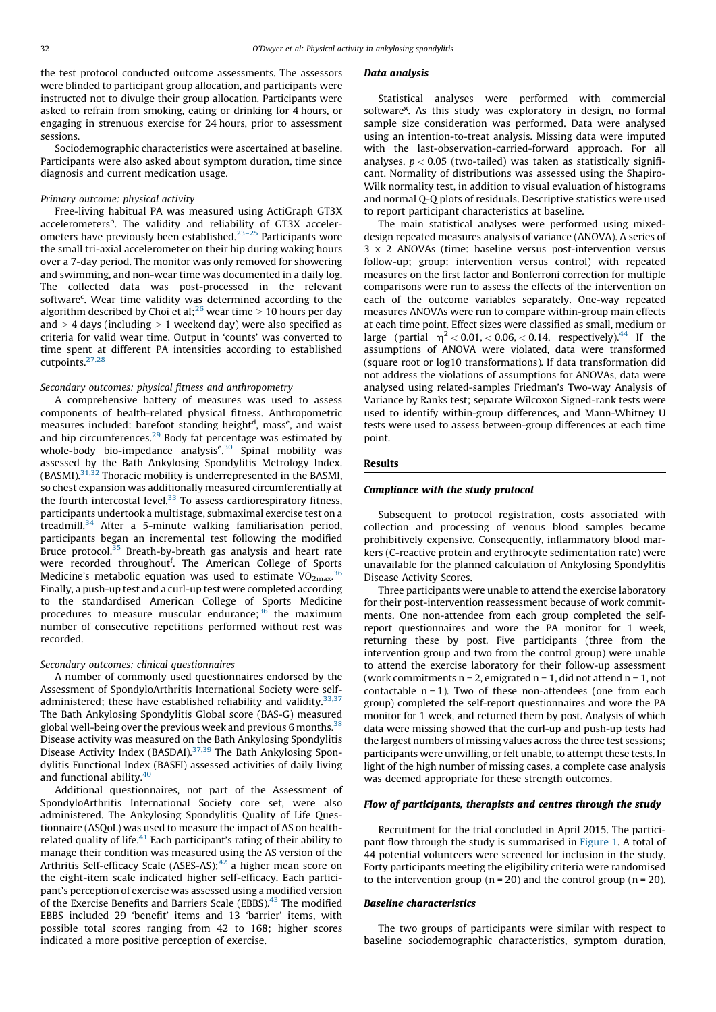the test protocol conducted outcome assessments. The assessors were blinded to participant group allocation, and participants were instructed not to divulge their group allocation. Participants were asked to refrain from smoking, eating or drinking for 4 hours, or engaging in strenuous exercise for 24 hours, prior to assessment sessions.

Sociodemographic characteristics were ascertained at baseline. Participants were also asked about symptom duration, time since diagnosis and current medication usage.

#### Primary outcome: physical activity

Free-living habitual PA was measured using ActiGraph GT3X accelerometers<sup>b</sup>. The validity and reliability of GT3X acceler-ometers have previously been established.<sup>[23–25](#page-8-0)</sup> Participants wore the small tri-axial accelerometer on their hip during waking hours over a 7-day period. The monitor was only removed for showering and swimming, and non-wear time was documented in a daily log. The collected data was post-processed in the relevant software<sup>c</sup>. Wear time validity was determined according to the algorithm described by Choi et al;<sup>[26](#page-8-0)</sup> wear time  $\geq 10$  hours per day and  $\geq 4$  days (including  $\geq 1$  weekend day) were also specified as criteria for valid wear time. Output in 'counts' was converted to time spent at different PA intensities according to established cutpoints.[27,28](#page-8-0)

## Secondary outcomes: physical fitness and anthropometry

A comprehensive battery of measures was used to assess components of health-related physical fitness. Anthropometric measures included: barefoot standing height<sup>d</sup>, mass<sup>e</sup>, and waist and hip circumferences.<sup>[29](#page-8-0)</sup> Body fat percentage was estimated by whole-body bio-impedance analysis<sup>e [30](#page-8-0)</sup> Spinal mobility was assessed by the Bath Ankylosing Spondylitis Metrology Index.  $(BASMI)<sup>31,32</sup>$  $(BASMI)<sup>31,32</sup>$  $(BASMI)<sup>31,32</sup>$  Thoracic mobility is underrepresented in the BASMI, so chest expansion was additionally measured circumferentially at the fourth intercostal level. $33$  To assess cardiorespiratory fitness, participants undertook a multistage, submaximal exercise test on a treadmill.<sup>[34](#page-9-0)</sup> After a 5-minute walking familiarisation period, participants began an incremental test following the modified Bruce protocol[.35](#page-9-0) Breath-by-breath gas analysis and heart rate were recorded throughout<sup>f</sup>. The American College of Sports Medicine's metabolic equation was used to estimate  $VO<sub>2max</sub>$ .<sup>[36](#page-9-0)</sup> Finally, a push-up test and a curl-up test were completed according to the standardised American College of Sports Medicine procedures to measure muscular endurance: $36$  the maximum number of consecutive repetitions performed without rest was recorded.

#### Secondary outcomes: clinical questionnaires

A number of commonly used questionnaires endorsed by the Assessment of SpondyloArthritis International Society were selfadministered; these have established reliability and validity.  $33,37$ The Bath Ankylosing Spondylitis Global score (BAS-G) measured global well-being over the previous week and previous 6 months. $38$ Disease activity was measured on the Bath Ankylosing Spondylitis Disease Activity Index (BASDAI).<sup>[37,39](#page-9-0)</sup> The Bath Ankylosing Spondylitis Functional Index (BASFI) assessed activities of daily living and functional ability.<sup>[40](#page-9-0)</sup>

Additional questionnaires, not part of the Assessment of SpondyloArthritis International Society core set, were also administered. The Ankylosing Spondylitis Quality of Life Questionnaire (ASQoL) was used to measure the impact of AS on healthrelated quality of life. $41$  Each participant's rating of their ability to manage their condition was measured using the AS version of the Arthritis Self-efficacy Scale (ASES-AS); $42$  a higher mean score on the eight-item scale indicated higher self-efficacy. Each participant's perception of exercise was assessed using a modified version of the Exercise Benefits and Barriers Scale (EBBS).<sup>43</sup> The modified EBBS included 29 'benefit' items and 13 'barrier' items, with possible total scores ranging from 42 to 168; higher scores indicated a more positive perception of exercise.

## Data analysis

Statistical analyses were performed with commercial software<sup>g</sup>. As this study was exploratory in design, no formal sample size consideration was performed. Data were analysed using an intention-to-treat analysis. Missing data were imputed with the last-observation-carried-forward approach. For all analyses,  $p < 0.05$  (two-tailed) was taken as statistically significant. Normality of distributions was assessed using the Shapiro-Wilk normality test, in addition to visual evaluation of histograms and normal Q-Q plots of residuals. Descriptive statistics were used to report participant characteristics at baseline.

The main statistical analyses were performed using mixeddesign repeated measures analysis of variance (ANOVA). A series of 3 x 2 ANOVAs (time: baseline versus post-intervention versus follow-up; group: intervention versus control) with repeated measures on the first factor and Bonferroni correction for multiple comparisons were run to assess the effects of the intervention on each of the outcome variables separately. One-way repeated measures ANOVAs were run to compare within-group main effects at each time point. Effect sizes were classified as small, medium or large (partial  $n^2 < 0.01, < 0.06, < 0.14$ , respectively).<sup>[44](#page-9-0)</sup> If the assumptions of ANOVA were violated, data were transformed (square root or log10 transformations). If data transformation did not address the violations of assumptions for ANOVAs, data were analysed using related-samples Friedman's Two-way Analysis of Variance by Ranks test; separate Wilcoxon Signed-rank tests were used to identify within-group differences, and Mann-Whitney U tests were used to assess between-group differences at each time point.

#### Results

#### Compliance with the study protocol

Subsequent to protocol registration, costs associated with collection and processing of venous blood samples became prohibitively expensive. Consequently, inflammatory blood markers (C-reactive protein and erythrocyte sedimentation rate) were unavailable for the planned calculation of Ankylosing Spondylitis Disease Activity Scores.

Three participants were unable to attend the exercise laboratory for their post-intervention reassessment because of work commitments. One non-attendee from each group completed the selfreport questionnaires and wore the PA monitor for 1 week, returning these by post. Five participants (three from the intervention group and two from the control group) were unable to attend the exercise laboratory for their follow-up assessment (work commitments  $n = 2$ , emigrated  $n = 1$ , did not attend  $n = 1$ , not contactable  $n = 1$ ). Two of these non-attendees (one from each group) completed the self-report questionnaires and wore the PA monitor for 1 week, and returned them by post. Analysis of which data were missing showed that the curl-up and push-up tests had the largest numbers of missing values across the three test sessions; participants were unwilling, or felt unable, to attempt these tests. In light of the high number of missing cases, a complete case analysis was deemed appropriate for these strength outcomes.

#### Flow of participants, therapists and centres through the study

Recruitment for the trial concluded in April 2015. The participant flow through the study is summarised in [Figure 1.](#page-3-0) A total of 44 potential volunteers were screened for inclusion in the study. Forty participants meeting the eligibility criteria were randomised to the intervention group ( $n = 20$ ) and the control group ( $n = 20$ ).

#### Baseline characteristics

The two groups of participants were similar with respect to baseline sociodemographic characteristics, symptom duration,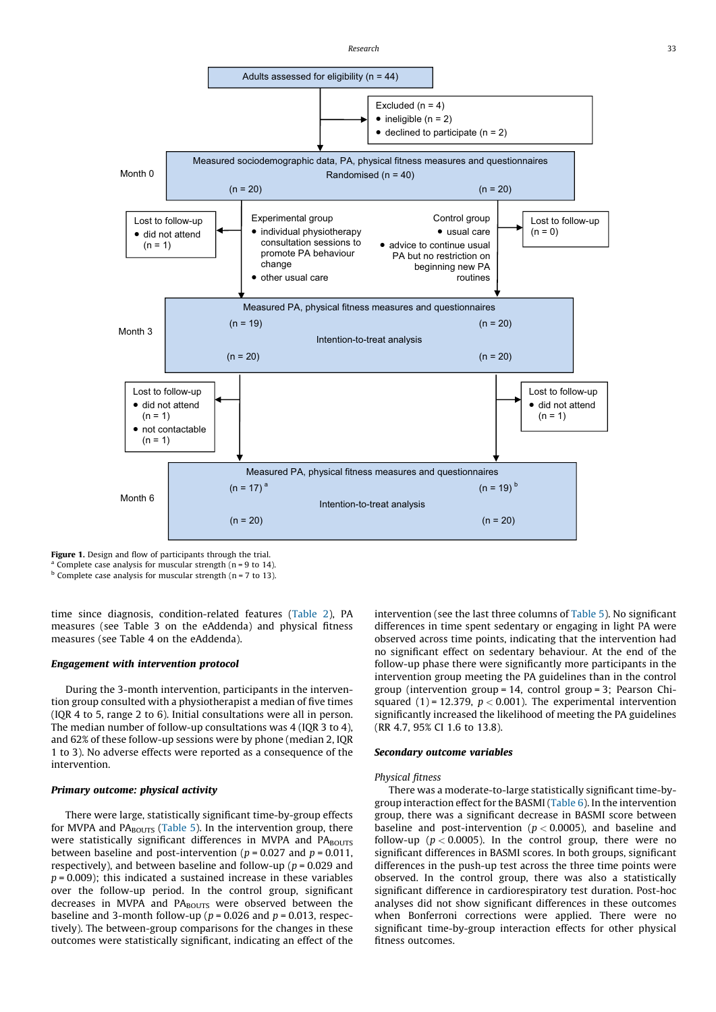<span id="page-3-0"></span>

Figure 1. Design and flow of participants through the trial.

Complete case analysis for muscular strength ( $n = 9$  to 14).

 $<sup>b</sup>$  Complete case analysis for muscular strength (n = 7 to 13).</sup>

time since diagnosis, condition-related features [\(Table 2](#page-4-0)), PA measures (see Table 3 on the eAddenda) and physical fitness measures (see Table 4 on the eAddenda).

## Engagement with intervention protocol

During the 3-month intervention, participants in the intervention group consulted with a physiotherapist a median of five times (IQR 4 to 5, range 2 to 6). Initial consultations were all in person. The median number of follow-up consultations was 4 (IQR 3 to 4), and 62% of these follow-up sessions were by phone (median 2, IQR 1 to 3). No adverse effects were reported as a consequence of the intervention.

## Primary outcome: physical activity

There were large, statistically significant time-by-group effects for MVPA and  $PA<sub>BOUTS</sub>$  ([Table 5\)](#page-5-0). In the intervention group, there were statistically significant differences in MVPA and PABOUTS between baseline and post-intervention ( $p = 0.027$  and  $p = 0.011$ , respectively), and between baseline and follow-up ( $p = 0.029$  and  $p = 0.009$ ; this indicated a sustained increase in these variables over the follow-up period. In the control group, significant decreases in MVPA and PABOUTS were observed between the baseline and 3-month follow-up ( $p = 0.026$  and  $p = 0.013$ , respectively). The between-group comparisons for the changes in these outcomes were statistically significant, indicating an effect of the intervention (see the last three columns of [Table 5\)](#page-5-0). No significant differences in time spent sedentary or engaging in light PA were observed across time points, indicating that the intervention had no significant effect on sedentary behaviour. At the end of the follow-up phase there were significantly more participants in the intervention group meeting the PA guidelines than in the control group (intervention group = 14, control group = 3; Pearson Chisquared (1) = 12.379,  $p < 0.001$ ). The experimental intervention significantly increased the likelihood of meeting the PA guidelines (RR 4.7, 95% CI 1.6 to 13.8).

## Secondary outcome variables

#### Physical fitness

There was a moderate-to-large statistically significant time-bygroup interaction effect for the BASMI [\(Table 6](#page-6-0)). In the intervention group, there was a significant decrease in BASMI score between baseline and post-intervention ( $p < 0.0005$ ), and baseline and follow-up ( $p < 0.0005$ ). In the control group, there were no significant differences in BASMI scores. In both groups, significant differences in the push-up test across the three time points were observed. In the control group, there was also a statistically significant difference in cardiorespiratory test duration. Post-hoc analyses did not show significant differences in these outcomes when Bonferroni corrections were applied. There were no significant time-by-group interaction effects for other physical fitness outcomes.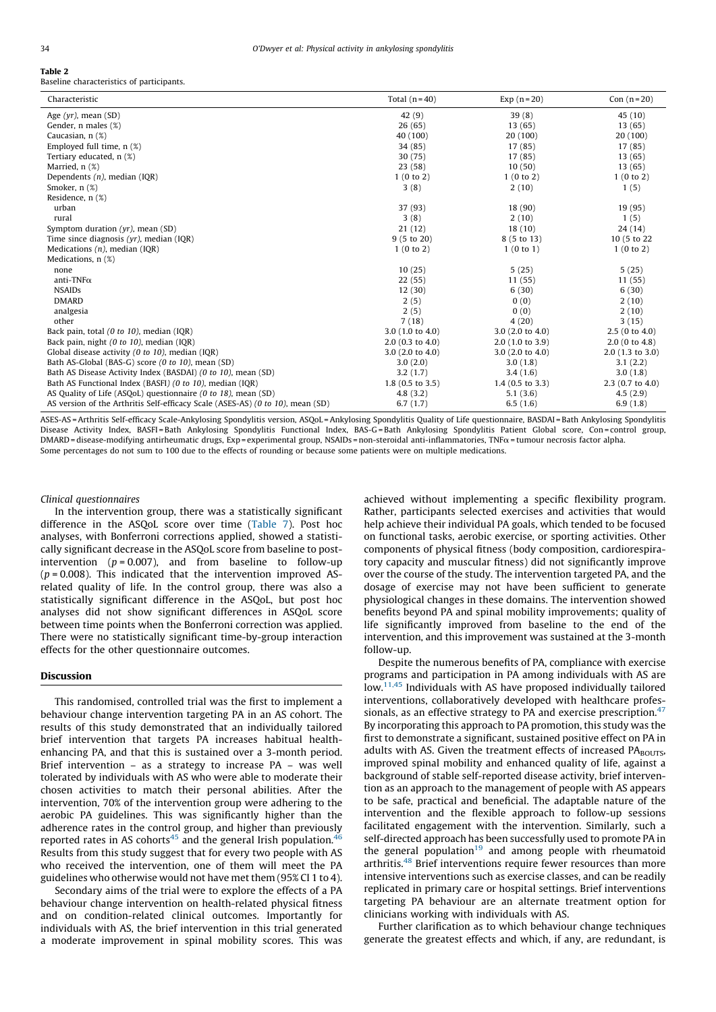#### <span id="page-4-0"></span>Table 2 Baseline characteristics of participants.

| Characteristic                                                                 | Total $(n=40)$             | Exp $(n=20)$               | Con $(n=20)$               |
|--------------------------------------------------------------------------------|----------------------------|----------------------------|----------------------------|
| Age $(yr)$ , mean $(SD)$                                                       | 42 (9)                     | 39(8)                      | 45(10)                     |
| Gender, n males (%)                                                            | 26(65)                     | 13(65)                     | 13(65)                     |
| Caucasian, n (%)                                                               | 40 (100)                   | 20 (100)                   | 20 (100)                   |
| Employed full time, $n$ $(\%)$                                                 | 34 (85)                    | 17 (85)                    | 17 (85)                    |
| Tertiary educated, n (%)                                                       | 30(75)                     | 17 (85)                    | 13(65)                     |
| Married, n (%)                                                                 | 23(58)                     | 10(50)                     | 13(65)                     |
| Dependents $(n)$ , median (IQR)                                                | 1(0 to 2)                  | 1(0 to 2)                  | 1(0 to 2)                  |
| Smoker, n (%)                                                                  | 3(8)                       | 2(10)                      | 1(5)                       |
| Residence, n (%)                                                               |                            |                            |                            |
| urban                                                                          | 37 (93)                    | 18 (90)                    | 19 (95)                    |
| rural                                                                          | 3(8)                       | 2(10)                      | 1(5)                       |
| Symptom duration $(yr)$ , mean $(SD)$                                          | 21(12)                     | 18(10)                     | 24(14)                     |
| Time since diagnosis $(yr)$ , median $(IQR)$                                   | 9(5 to 20)                 | 8 (5 to 13)                | 10 (5 to 22                |
| Medications $(n)$ , median (IQR)                                               | 1(0 to 2)                  | 1(0 to 1)                  | 1(0 to 2)                  |
| Medications, n (%)                                                             |                            |                            |                            |
| none                                                                           | 10(25)                     | 5(25)                      | 5(25)                      |
| anti-TNF $\alpha$                                                              | 22(55)                     | 11(55)                     | 11(55)                     |
| <b>NSAIDs</b>                                                                  | 12(30)                     | 6(30)                      | 6(30)                      |
| <b>DMARD</b>                                                                   | 2(5)                       | 0(0)                       | 2(10)                      |
| analgesia                                                                      | 2(5)                       | 0(0)                       | 2(10)                      |
| other                                                                          | 7(18)                      | 4(20)                      | 3(15)                      |
| Back pain, total (0 to 10), median (IQR)                                       | 3.0(1.0 to 4.0)            | 3.0(2.0 to 4.0)            | 2.5(0 to 4.0)              |
| Back pain, night (0 to 10), median (IQR)                                       | 2.0(0.3 to 4.0)            | $2.0$ (1.0 to 3.9)         | 2.0(0 to 4.8)              |
| Global disease activity $(0 \text{ to } 10)$ , median $(IQR)$                  | 3.0(2.0 to 4.0)            | 3.0(2.0 to 4.0)            | $2.0$ (1.3 to 3.0)         |
| Bath AS-Global (BAS-G) score (0 to 10), mean (SD)                              | 3.0(2.0)                   | 3.0(1.8)                   | 3.1(2.2)                   |
| Bath AS Disease Activity Index (BASDAI) (0 to 10), mean (SD)                   | 3.2(1.7)                   | 3.4(1.6)                   | 3.0(1.8)                   |
| Bath AS Functional Index (BASFI) (0 to 10), median (IQR)                       | $1.8(0.5 \text{ to } 3.5)$ | $1.4(0.5 \text{ to } 3.3)$ | $2.3(0.7 \text{ to } 4.0)$ |
| AS Quality of Life (ASQoL) questionnaire (0 to 18), mean (SD)                  | 4.8(3.2)                   | 5.1(3.6)                   | 4.5(2.9)                   |
| AS version of the Arthritis Self-efficacy Scale (ASES-AS) (0 to 10), mean (SD) | 6.7(1.7)                   | 6.5(1.6)                   | 6.9(1.8)                   |

ASES-AS = Arthritis Self-efficacy Scale-Ankylosing Spondylitis version, ASQoL = Ankylosing Spondylitis Quality of Life questionnaire, BASDAI = Bath Ankylosing Spondylitis Disease Activity Index, BASFI=Bath Ankylosing Spondylitis Functional Index, BAS-G=Bath Ankylosing Spondylitis Patient Global score, Con=control group, DMARD = disease-modifying antirheumatic drugs, Exp = experimental group, NSAIDs = non-steroidal anti-inflammatories, TNFa= tumour necrosis factor alpha. Some percentages do not sum to 100 due to the effects of rounding or because some patients were on multiple medications.

#### Clinical questionnaires

In the intervention group, there was a statistically significant difference in the ASQoL score over time [\(Table 7\)](#page-7-0). Post hoc analyses, with Bonferroni corrections applied, showed a statistically significant decrease in the ASQoL score from baseline to postintervention ( $p = 0.007$ ), and from baseline to follow-up  $(p = 0.008)$ . This indicated that the intervention improved ASrelated quality of life. In the control group, there was also a statistically significant difference in the ASQoL, but post hoc analyses did not show significant differences in ASQoL score between time points when the Bonferroni correction was applied. There were no statistically significant time-by-group interaction effects for the other questionnaire outcomes.

## Discussion

This randomised, controlled trial was the first to implement a behaviour change intervention targeting PA in an AS cohort. The results of this study demonstrated that an individually tailored brief intervention that targets PA increases habitual healthenhancing PA, and that this is sustained over a 3-month period. Brief intervention – as a strategy to increase PA – was well tolerated by individuals with AS who were able to moderate their chosen activities to match their personal abilities. After the intervention, 70% of the intervention group were adhering to the aerobic PA guidelines. This was significantly higher than the adherence rates in the control group, and higher than previously reported rates in AS cohorts<sup>[45](#page-9-0)</sup> and the general Irish population.<sup>[46](#page-9-0)</sup> Results from this study suggest that for every two people with AS who received the intervention, one of them will meet the PA guidelines who otherwise would not have met them (95% CI 1 to 4).

Secondary aims of the trial were to explore the effects of a PA behaviour change intervention on health-related physical fitness and on condition-related clinical outcomes. Importantly for individuals with AS, the brief intervention in this trial generated a moderate improvement in spinal mobility scores. This was achieved without implementing a specific flexibility program. Rather, participants selected exercises and activities that would help achieve their individual PA goals, which tended to be focused on functional tasks, aerobic exercise, or sporting activities. Other components of physical fitness (body composition, cardiorespiratory capacity and muscular fitness) did not significantly improve over the course of the study. The intervention targeted PA, and the dosage of exercise may not have been sufficient to generate physiological changes in these domains. The intervention showed benefits beyond PA and spinal mobility improvements; quality of life significantly improved from baseline to the end of the intervention, and this improvement was sustained at the 3-month follow-up.

Despite the numerous benefits of PA, compliance with exercise programs and participation in PA among individuals with AS are low.<sup>[11,45](#page-8-0)</sup> Individuals with AS have proposed individually tailored interventions, collaboratively developed with healthcare profes-sionals, as an effective strategy to PA and exercise prescription.<sup>[47](#page-9-0)</sup> By incorporating this approach to PA promotion, this study was the first to demonstrate a significant, sustained positive effect on PA in adults with AS. Given the treatment effects of increased  $PA_{BOUTS}$ , improved spinal mobility and enhanced quality of life, against a background of stable self-reported disease activity, brief intervention as an approach to the management of people with AS appears to be safe, practical and beneficial. The adaptable nature of the intervention and the flexible approach to follow-up sessions facilitated engagement with the intervention. Similarly, such a self-directed approach has been successfully used to promote PA in the general population<sup>19</sup> and among people with rheumatoid arthritis.<sup>[48](#page-9-0)</sup> Brief interventions require fewer resources than more intensive interventions such as exercise classes, and can be readily replicated in primary care or hospital settings. Brief interventions targeting PA behaviour are an alternate treatment option for clinicians working with individuals with AS.

Further clarification as to which behaviour change techniques generate the greatest effects and which, if any, are redundant, is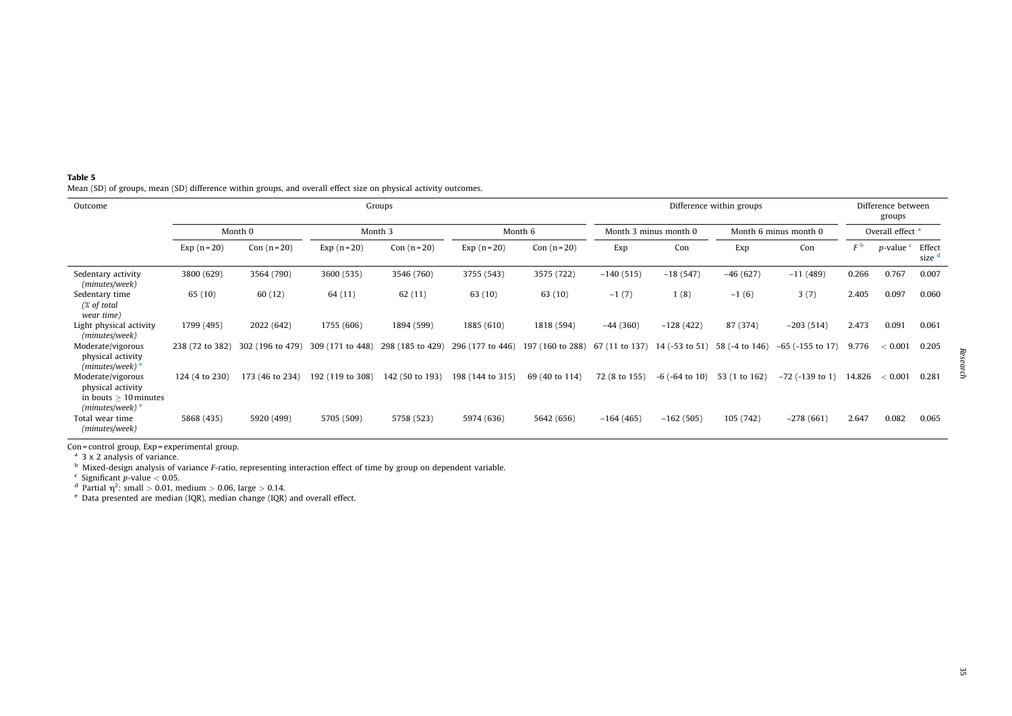<span id="page-5-0"></span>

| Table 5                                                                                                         |
|-----------------------------------------------------------------------------------------------------------------|
| Mean (SD) of groups, mean (SD) difference within groups, and overall effect size on physical activity outcomes. |

| Outcome                                                                 |                 | Groups           |                  |                  |                  |                  |                |                        | Difference within groups |                       |        |                              | Difference between<br>groups |  |  |
|-------------------------------------------------------------------------|-----------------|------------------|------------------|------------------|------------------|------------------|----------------|------------------------|--------------------------|-----------------------|--------|------------------------------|------------------------------|--|--|
|                                                                         |                 | Month 0          | Month 3          |                  |                  | Month 6          |                | Month 3 minus month 0  |                          | Month 6 minus month 0 |        | Overall effect <sup>a</sup>  |                              |  |  |
|                                                                         | Exp $(n=20)$    | Con $(n=20)$     | Exp $(n=20)$     | Con $(n=20)$     | Exp $(n=20)$     | Con $(n=20)$     | Exp            | Con                    | Exp                      | Con                   | FЬ     | <i>p</i> -value <sup>c</sup> | Effect<br>size <sup>d</sup>  |  |  |
| Sedentary activity<br>(minutes/week)                                    | 3800 (629)      | 3564 (790)       | 3600 (535)       | 3546 (760)       | 3755 (543)       | 3575 (722)       | $-140(515)$    | $-18(547)$             | $-46(627)$               | $-11(489)$            | 0.266  | 0.767                        | 0.007                        |  |  |
| Sedentary time<br>(% of total<br>wear time)                             | 65 (10)         | 60(12)           | 64 (11)          | 62(11)           | 63 (10)          | 63 (10)          | $-1(7)$        | 1(8)                   | $-1(6)$                  | 3(7)                  | 2.405  | 0.097                        | 0.060                        |  |  |
| Light physical activity<br>(minutes/week)                               | 1799 (495)      | 2022 (642)       | 1755 (606)       | 1894 (599)       | 1885 (610)       | 1818 (594)       | $-44(360)$     | $-128(422)$            | 87 (374)                 | $-203(514)$           | 2.473  | 0.091                        | 0.061                        |  |  |
| Moderate/vigorous<br>physical activity<br>$(minutes/week)$ <sup>e</sup> | 238 (72 to 382) | 302 (196 to 479) | 309 (171 to 448) | 298 (185 to 429) | 296 (177 to 446) | 197 (160 to 288) | 67 (11 to 137) | 14 $(-53$ to 51)       | 58 (-4 to 146)           | $-65$ ( $-155$ to 17) | 9.776  | < 0.001                      | 0.205                        |  |  |
| Moderate/vigorous<br>physical activity<br>in bouts $> 10$ minutes       | 124 (4 to 230)  | 173 (46 to 234)  | 192 (119 to 308) | 142 (50 to 193)  | 198 (144 to 315) | 69 (40 to 114)   | 72 (8 to 155)  | $-6$ ( $-64$ to $10$ ) | 53 (1 to 162)            | $-72$ ( $-139$ to 1)  | 14.826 | < 0.001                      | 0.281                        |  |  |
| $(minutes/week)$ <sup>e</sup><br>Total wear time<br>(minutes/week)      | 5868 (435)      | 5920 (499)       | 5705 (509)       | 5758 (523)       | 5974 (636)       | 5642 (656)       | $-164(465)$    | $-162(505)$            | 105 (742)                | $-278(661)$           | 2.647  | 0.082                        | 0.065                        |  |  |

Con = control group,  $Exp$  = experimental group.<br><sup>a</sup> 3 x 2 analysis of variance.

<sup>b</sup> Mixed-design analysis of variance F-ratio, representing interaction effect of time by group on dependent variable.<br><sup>c</sup> Significant p-value < 0.05.

<sup>d</sup> Partial  $\eta^2$ : small > 0.01, medium > 0.06, large > 0.14.<br><sup>e</sup> Data presented are median (IQR), median change (IQR) and overall effect.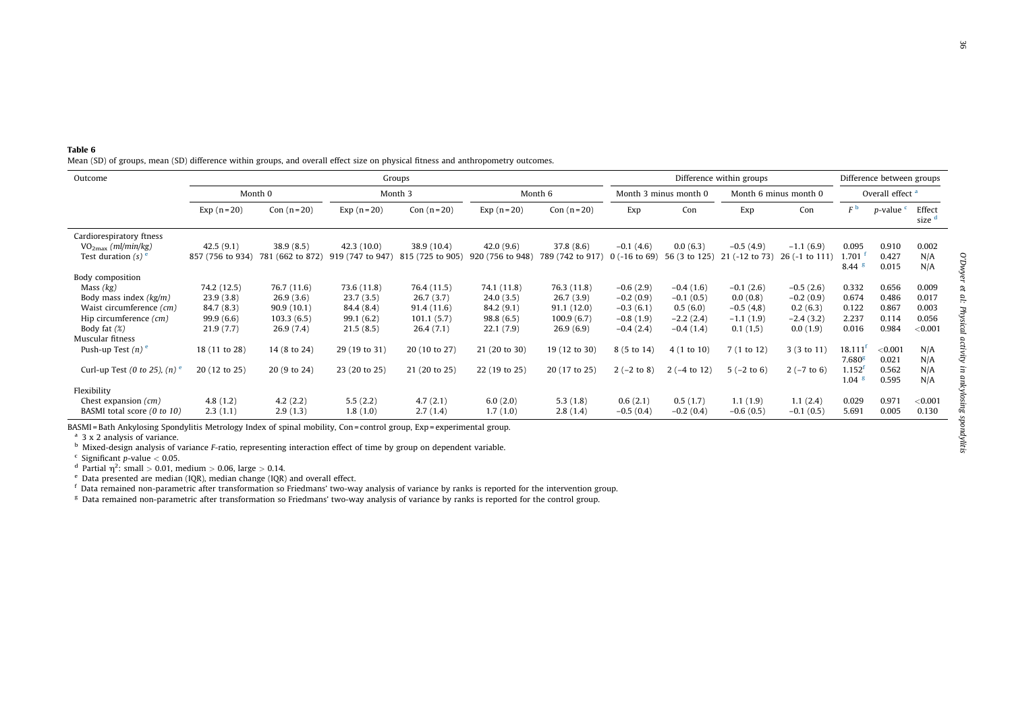<span id="page-6-0"></span>

| Table 6 |  |  |  |  |                                                                                                                                  |  |
|---------|--|--|--|--|----------------------------------------------------------------------------------------------------------------------------------|--|
|         |  |  |  |  | Mean (SD) of groups, mean (SD) difference within groups, and overall effect size on physical fitness and anthropometry outcomes. |  |

| Outcome                                                                                                                              |                                                                 |                                                                   | Groups                                                           | Difference within groups                                          |                                                                  |                                                                   |                                                                         |                                                                      | Difference between groups                                         |                                                                   |                                                                     |                                           |                                             |  |
|--------------------------------------------------------------------------------------------------------------------------------------|-----------------------------------------------------------------|-------------------------------------------------------------------|------------------------------------------------------------------|-------------------------------------------------------------------|------------------------------------------------------------------|-------------------------------------------------------------------|-------------------------------------------------------------------------|----------------------------------------------------------------------|-------------------------------------------------------------------|-------------------------------------------------------------------|---------------------------------------------------------------------|-------------------------------------------|---------------------------------------------|--|
|                                                                                                                                      | Month 0                                                         |                                                                   | Month 3                                                          |                                                                   |                                                                  | Month 6                                                           |                                                                         | Month 3 minus month 0                                                |                                                                   | Month 6 minus month 0                                             |                                                                     | Overall effect <sup>a</sup>               |                                             |  |
|                                                                                                                                      | Exp $(n=20)$                                                    | Con $(n=20)$                                                      | Exp $(n=20)$                                                     | Con $(n=20)$                                                      | Exp $(n=20)$                                                     | Con $(n=20)$                                                      | Exp                                                                     | Con                                                                  | Exp                                                               | Con                                                               | F <sup>b</sup>                                                      | $p$ -value $\epsilon$                     | Effect<br>size <sup>d</sup>                 |  |
| Cardiorespiratory ftness<br>$VO2max$ (ml/min/kg)<br>Test duration $(s)$ <sup>e</sup>                                                 | 42.5(9.1)<br>857 (756 to 934)                                   | 38.9(8.5)<br>781 (662 to 872)                                     | 42.3(10.0)<br>919 (747 to 947)                                   | 38.9 (10.4)<br>815 (725 to 905)                                   | 42.0(9.6)<br>920 (756 to 948)                                    | 37.8(8.6)<br>789 (742 to 917)                                     | $-0.1(4.6)$<br>$0$ (-16 to 69)                                          | 0.0(6.3)<br>56 (3 to 125)                                            | $-0.5(4.9)$<br>21 (-12 to 73)                                     | $-1.1(6.9)$<br>26 (-1 to 111)                                     | 0.095<br>1.701<br>$8.44$ s                                          | 0.910<br>0.427<br>0.015                   | 0.002<br>N/A<br>N/A                         |  |
| Body composition<br>Mass $(kg)$<br>Body mass index $(kg/m)$<br>Waist circumference (cm)<br>Hip circumference (cm)<br>Body fat $(\%)$ | 74.2 (12.5)<br>23.9(3.8)<br>84.7(8.3)<br>99.9(6.6)<br>21.9(7.7) | 76.7 (11.6)<br>26.9(3.6)<br>90.9(10.1)<br>103.3(6.5)<br>26.9(7.4) | 73.6 (11.8)<br>23.7(3.5)<br>84.4 (8.4)<br>99.1(6.2)<br>21.5(8.5) | 76.4 (11.5)<br>26.7(3.7)<br>91.4(11.6)<br>101.1(5.7)<br>26.4(7.1) | 74.1 (11.8)<br>24.0(3.5)<br>84.2 (9.1)<br>98.8(6.5)<br>22.1(7.9) | 76.3 (11.8)<br>26.7(3.9)<br>91.1(12.0)<br>100.9(6.7)<br>26.9(6.9) | $-0.6(2.9)$<br>$-0.2(0.9)$<br>$-0.3(6.1)$<br>$-0.8(1.9)$<br>$-0.4(2.4)$ | $-0.4(1.6)$<br>$-0.1(0.5)$<br>0.5(6.0)<br>$-2.2(2.4)$<br>$-0.4(1.4)$ | $-0.1(2.6)$<br>0.0(0.8)<br>$-0.5(4,8)$<br>$-1.1(1.9)$<br>0.1(1,5) | $-0.5(2.6)$<br>$-0.2(0.9)$<br>0.2(6.3)<br>$-2.4(3.2)$<br>0.0(1.9) | 0.332<br>0.674<br>0.122<br>2.237<br>0.016                           | 0.656<br>0.486<br>0.867<br>0.114<br>0.984 | 0.009<br>0.017<br>0.003<br>0.056<br>< 0.001 |  |
| Muscular fitness<br>Push-up Test $(n)$ <sup>e</sup><br>Curl-up Test (0 to 25), $(n)$ <sup>e</sup>                                    | 18 (11 to 28)<br>20 (12 to 25)                                  | 14 (8 to 24)<br>20 (9 to 24)                                      | 29 (19 to 31)<br>23 (20 to 25)                                   | 20 (10 to 27)<br>21 (20 to 25)                                    | 21 (20 to 30)<br>22 (19 to 25)                                   | 19 (12 to 30)<br>20 (17 to 25)                                    | 8 (5 to 14)<br>$2(-2 \text{ to } 8)$                                    | 4(1 to 10)<br>$2(-4 to 12)$                                          | 7(1 to 12)<br>$5(-2 \text{ to } 6)$                               | 3(3 to 11)<br>$2(-7 to 6)$                                        | $18.111$ <sup>t</sup><br>7.680 <sup>g</sup><br>$1.152$ <sup>f</sup> | < 0.001<br>0.021<br>0.562                 | N/A<br>N/A<br>N/A                           |  |
| Flexibility<br>Chest expansion $(cm)$<br>BASMI total score (0 to 10)                                                                 | 4.8(1.2)<br>2.3(1.1)                                            | 4.2(2.2)<br>2.9(1.3)                                              | 5.5(2.2)<br>1.8(1.0)                                             | 4.7(2.1)<br>2.7(1.4)                                              | 6.0(2.0)<br>1.7(1.0)                                             | 5.3(1.8)<br>2.8(1.4)                                              | 0.6(2.1)<br>$-0.5(0.4)$                                                 | 0.5(1.7)<br>$-0.2(0.4)$                                              | 1.1(1.9)<br>$-0.6(0.5)$                                           | 1.1(2.4)<br>$-0.1(0.5)$                                           | $1.04$ s<br>0.029<br>5.691                                          | 0.595<br>0.971<br>0.005                   | N/A<br>< 0.001<br>0.130                     |  |

BASMI <sup>=</sup> Bath Ankylosing Spondylitis Metrology Index of spinal mobility, Con <sup>=</sup> control group, Exp <sup>=</sup> experimental group.

<sup>a</sup> 3 x 2 analysis of variance.

 $^{\rm b}$  Mixed-design analysis of variance *F*-ratio, representing interaction effect of time by group on dependent variable.

 $c$  Significant p-value  $< 0.05$ .

<sup>d</sup> Partial  $\eta^2$ : small > 0.01, medium > 0.06, large > 0.14.

 $e$  Data presented are median (IQR), median change (IQR) and overall effect.

 $\rm ^f$  Data remained non-parametric after transformation so Friedmans' two-way analysis of variance by ranks is reported for the intervention group.

<sup>g</sup> Data remained non-parametric after transformation so Friedmans' two-way analysis of variance by ranks is reported for the control group.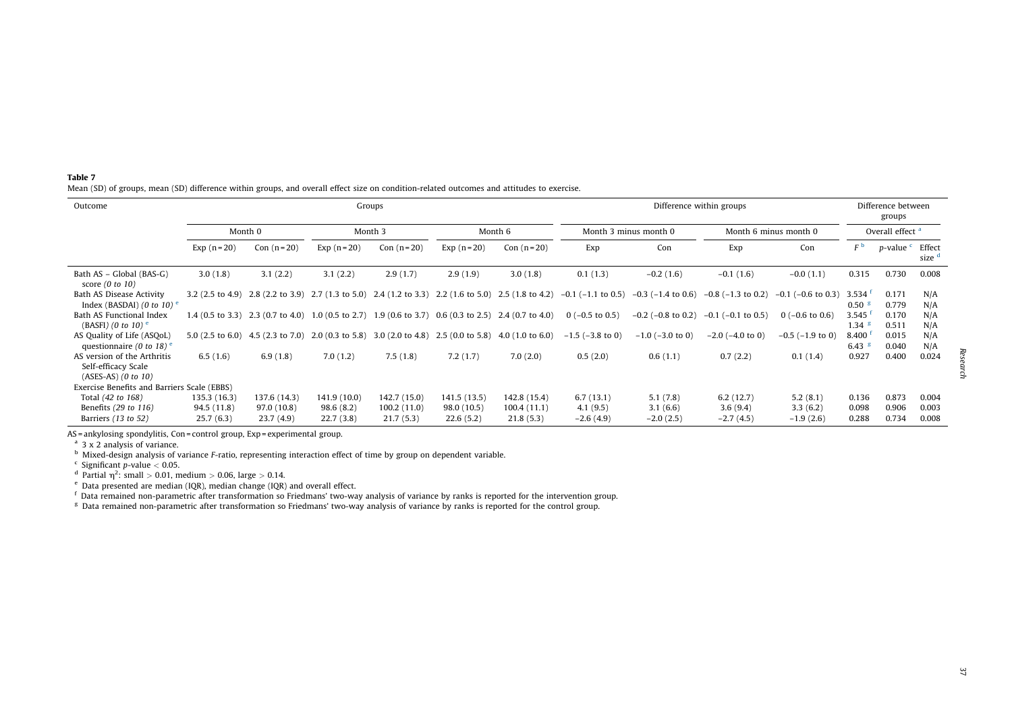<span id="page-7-0"></span>

| Table 7 |  |                                                                                                                                           |  |
|---------|--|-------------------------------------------------------------------------------------------------------------------------------------------|--|
|         |  | Mean (SD) of groups, mean (SD) difference within groups, and overall effect size on condition-related outcomes and attitudes to exercise. |  |

| Outcome                                                                     | Groups       |              |              |              |                |                                                                                                       |                         | Difference within groups |                            |                         |                             |                              | Difference between<br>groups |  |  |  |
|-----------------------------------------------------------------------------|--------------|--------------|--------------|--------------|----------------|-------------------------------------------------------------------------------------------------------|-------------------------|--------------------------|----------------------------|-------------------------|-----------------------------|------------------------------|------------------------------|--|--|--|
|                                                                             |              | Month 0      | Month 3      |              | Month 6        |                                                                                                       | Month 3 minus month 0   |                          | Month 6 minus month 0      |                         | Overall effect <sup>a</sup> |                              |                              |  |  |  |
|                                                                             | Exp $(n=20)$ | Con $(n=20)$ | Exp $(n=20)$ | Con $(n=20)$ | $Exp (n = 20)$ | Con $(n=20)$                                                                                          | Exp                     | Con                      | Exp                        | Con                     | FЬ                          | <i>p</i> -value <sup>c</sup> | Effect<br>size d             |  |  |  |
| Bath AS – Global (BAS-G)<br>score $(0 \text{ to } 10)$                      | 3.0(1.8)     | 3.1(2.2)     | 3.1(2.2)     | 2.9(1.7)     | 2.9(1.9)       | 3.0(1.8)                                                                                              | 0.1(1.3)                | $-0.2(1.6)$              | $-0.1(1.6)$                | $-0.0(1.1)$             | 0.315                       | 0.730                        | 0.008                        |  |  |  |
| Bath AS Disease Activity<br>Index (BASDAI) (0 to 10) $e$                    |              |              |              |              |                | 3.2 (2.5 to 4.9) 2.8 (2.2 to 3.9) 2.7 (1.3 to 5.0) 2.4 (1.2 to 3.3) 2.2 (1.6 to 5.0) 2.5 (1.8 to 4.2) | $-0.1$ ( $-1.1$ to 0.5) | $-0.3$ ( $-1.4$ to 0.6)  | $-0.8$ ( $-1.3$ to 0.2)    | $-0.1$ ( $-0.6$ to 0.3) | 3.534<br>0.50 <sup>8</sup>  | 0.171<br>0.779               | N/A<br>N/A                   |  |  |  |
| Bath AS Functional Index<br>(BASFI) (0 to 10) $^{\circ}$                    |              |              |              |              |                | 1.4 (0.5 to 3.3) 2.3 (0.7 to 4.0) 1.0 (0.5 to 2.7) 1.9 (0.6 to 3.7) 0.6 (0.3 to 2.5) 2.4 (0.7 to 4.0) | $0$ (-0.5 to 0.5)       | $-0.2$ ( $-0.8$ to 0.2)  | $-0.1$ ( $-0.1$ to $0.5$ ) | $0$ (-0.6 to 0.6)       | 3.545<br>1.34               | 0.170<br>0.511               | N/A<br>N/A                   |  |  |  |
| AS Quality of Life (ASQoL)<br>questionnaire (0 to 18) $e$                   |              |              |              |              |                | 5.0 (2.5 to 6.0) 4.5 (2.3 to 7.0) 2.0 (0.3 to 5.8) 3.0 (2.0 to 4.8) 2.5 (0.0 to 5.8) 4.0 (1.0 to 6.0) | $-1.5$ ( $-3.8$ to 0)   | $-1.0$ ( $-3.0$ to 0)    | $-2.0$ ( $-4.0$ to 0)      | $-0.5$ ( $-1.9$ to 0)   | 8.400<br>$6.43*$            | 0.015<br>0.040               | N/A<br>N/A                   |  |  |  |
| AS version of the Arthritis<br>Self-efficacy Scale<br>$(ASES-AS)$ (0 to 10) | 6.5(1.6)     | 6.9(1.8)     | 7.0(1.2)     | 7.5(1.8)     | 7.2(1.7)       | 7.0(2.0)                                                                                              | 0.5(2.0)                | 0.6(1.1)                 | 0.7(2.2)                   | 0.1(1.4)                | 0.927                       | 0.400                        | 0.024                        |  |  |  |
| Exercise Benefits and Barriers Scale (EBBS)                                 |              |              |              |              |                |                                                                                                       |                         |                          |                            |                         |                             |                              |                              |  |  |  |
| Total (42 to 168)                                                           | 135.3 (16.3) | 137.6 (14.3) | 141.9 (10.0) | 142.7(15.0)  | 141.5 (13.5)   | 142.8 (15.4)                                                                                          | 6.7(13.1)               | 5.1(7.8)                 | 6.2(12.7)                  | 5.2(8.1)                | 0.136                       | 0.873                        | 0.004                        |  |  |  |
| Benefits (29 to 116)                                                        | 94.5 (11.8)  | 97.0(10.8)   | 98.6(8.2)    | 100.2(11.0)  | 98.0 (10.5)    | 100.4(11.1)                                                                                           | 4.1(9.5)                | 3.1(6.6)                 | 3.6(9.4)                   | 3.3(6.2)                | 0.098                       | 0.906                        | 0.003                        |  |  |  |
| Barriers $(13 \text{ to } 52)$                                              | 25.7(6.3)    | 23.7(4.9)    | 22.7(3.8)    | 21.7(5.3)    | 22.6(5.2)      | 21.8(5.3)                                                                                             | $-2.6(4.9)$             | $-2.0(2.5)$              | $-2.7(4.5)$                | $-1.9(2.6)$             | 0.288                       | 0.734                        | 0.008                        |  |  |  |

AS=ankylosing spondylitis, Con=control group, Exp=experimental group.<br><sup>a</sup> 3 x 2 analysis of variance.<br><sup>b</sup> Mixed-design analysis of variance F-ratio, representing interaction effect of time by group on dependent variable.

 $c<sub>c</sub>$  Significant p-value  $< 0.05$ .

<sup>d</sup> Partial  $\eta^2$ : small > 0.01, medium > 0.06, large > 0.14.

e Data presented are median (IQR), median change (IQR) and overall effect.

 $\rm ^f$  Data remained non-parametric after transformation so Friedmans' two-way analysis of variance by ranks is reported for the intervention group.

g Data remained non-parametric after transformation so Friedmans' two-way analysis of variance by ranks is reported for the intervention group.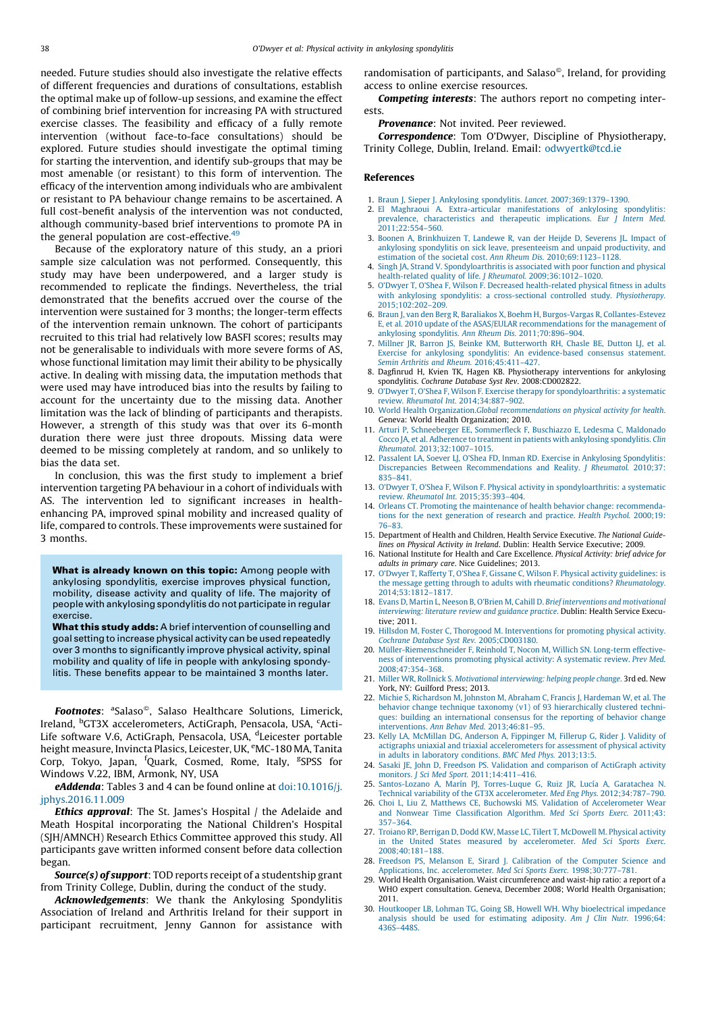<span id="page-8-0"></span>needed. Future studies should also investigate the relative effects of different frequencies and durations of consultations, establish the optimal make up of follow-up sessions, and examine the effect of combining brief intervention for increasing PA with structured exercise classes. The feasibility and efficacy of a fully remote intervention (without face-to-face consultations) should be explored. Future studies should investigate the optimal timing for starting the intervention, and identify sub-groups that may be most amenable (or resistant) to this form of intervention. The efficacy of the intervention among individuals who are ambivalent or resistant to PA behaviour change remains to be ascertained. A full cost-benefit analysis of the intervention was not conducted, although community-based brief interventions to promote PA in the general population are cost-effective. $49$ 

Because of the exploratory nature of this study, an a priori sample size calculation was not performed. Consequently, this study may have been underpowered, and a larger study is recommended to replicate the findings. Nevertheless, the trial demonstrated that the benefits accrued over the course of the intervention were sustained for 3 months; the longer-term effects of the intervention remain unknown. The cohort of participants recruited to this trial had relatively low BASFI scores; results may not be generalisable to individuals with more severe forms of AS, whose functional limitation may limit their ability to be physically active. In dealing with missing data, the imputation methods that were used may have introduced bias into the results by failing to account for the uncertainty due to the missing data. Another limitation was the lack of blinding of participants and therapists. However, a strength of this study was that over its 6-month duration there were just three dropouts. Missing data were deemed to be missing completely at random, and so unlikely to bias the data set.

In conclusion, this was the first study to implement a brief intervention targeting PA behaviour in a cohort of individuals with AS. The intervention led to significant increases in healthenhancing PA, improved spinal mobility and increased quality of life, compared to controls. These improvements were sustained for 3 months.

What is already known on this topic: Among people with ankylosing spondylitis, exercise improves physical function, mobility, disease activity and quality of life. The majority of people with ankylosing spondylitis do not participate in regular exercise.

What this study adds: A brief intervention of counselling and goal setting to increase physical activity can be used repeatedly over 3 months to significantly improve physical activity, spinal mobility and quality of life in people with ankylosing spondylitis. These benefits appear to be maintained 3 months later.

Footnotes: <sup>a</sup>Salaso<sup>®</sup>, Salaso Healthcare Solutions, Limerick, Ireland, <sup>b</sup>GT3X accelerometers, ActiGraph, Pensacola, USA, <sup>c</sup>Acti-Life software V.6, ActiGraph, Pensacola, USA, <sup>d</sup>Leicester portable height measure, Invincta Plasics, Leicester, UK, <sup>e</sup>MC-180 MA, Tanita Corp, Tokyo, Japan, <sup>f</sup>Quark, Cosmed, Rome, Italy, <sup>g</sup>SPSS for Windows V.22, IBM, Armonk, NY, USA

eAddenda: Tables 3 and 4 can be found online at [doi:10.1016/j.](http://dx.doi.org/10.1016/j.jphys.2016.11.009) [jphys.2016.11.009](http://dx.doi.org/10.1016/j.jphys.2016.11.009)

**Ethics approval:** The St. James's Hospital / the Adelaide and Meath Hospital incorporating the National Children's Hospital (SJH/AMNCH) Research Ethics Committee approved this study. All participants gave written informed consent before data collection began.

Source(s) of support: TOD reports receipt of a studentship grant from Trinity College, Dublin, during the conduct of the study.

Acknowledgements: We thank the Ankylosing Spondylitis Association of Ireland and Arthritis Ireland for their support in participant recruitment, Jenny Gannon for assistance with

randomisation of participants, and Salaso®, Ireland, for providing access to online exercise resources.

Competing interests: The authors report no competing interests.

Provenance: Not invited. Peer reviewed.

Correspondence: Tom O'Dwyer, Discipline of Physiotherapy, Trinity College, Dublin, Ireland. Email: [odwyertk@tcd.ie](mailto:odwyertk@tcd.ie)

#### References

- 
- 1. [Braun J, Sieper J. Ankylosing spondylitis.](http://refhub.elsevier.com/S1836-9553(16)30092-3/sbref0250) Lancet. 2007;369:1379–1390. 2. [El Maghraoui A. Extra-articular manifestations of ankylosing spondylitis:](http://refhub.elsevier.com/S1836-9553(16)30092-3/sbref0255) [prevalence, characteristics and therapeutic implications.](http://refhub.elsevier.com/S1836-9553(16)30092-3/sbref0255) Eur *J* Intern Med. [2011;22:554–560](http://refhub.elsevier.com/S1836-9553(16)30092-3/sbref0255).
- 3. [Boonen A, Brinkhuizen T, Landewe R, van der Heijde D, Severens JL. Impact of](http://refhub.elsevier.com/S1836-9553(16)30092-3/sbref0260) [ankylosing spondylitis on sick leave, presenteeism and unpaid productivity, and](http://refhub.elsevier.com/S1836-9553(16)30092-3/sbref0260) [estimation of the societal cost.](http://refhub.elsevier.com/S1836-9553(16)30092-3/sbref0260) Ann Rheum Dis. 2010;69:1123–1128.
- 4. [Singh JA, Strand V. Spondyloarthritis is associated with poor function and physical](http://refhub.elsevier.com/S1836-9553(16)30092-3/sbref0265) [health-related quality of life.](http://refhub.elsevier.com/S1836-9553(16)30092-3/sbref0265) J Rheumatol. 2009;36:1012–1020.
- 5. [O'Dwyer T, O'Shea F, Wilson F. Decreased health-related physical fitness in adults](http://refhub.elsevier.com/S1836-9553(16)30092-3/sbref0270) [with ankylosing spondylitis: a cross-sectional controlled study.](http://refhub.elsevier.com/S1836-9553(16)30092-3/sbref0270) Physiotherapy. [2015;102:202–209.](http://refhub.elsevier.com/S1836-9553(16)30092-3/sbref0270)
- 6. [Braun J, van den Berg R, Baraliakos X, Boehm H, Burgos-Vargas R, Collantes-Estevez](http://refhub.elsevier.com/S1836-9553(16)30092-3/sbref0275) [E, et al. 2010 update of the ASAS/EULAR recommendations for the management of](http://refhub.elsevier.com/S1836-9553(16)30092-3/sbref0275) [ankylosing spondylitis.](http://refhub.elsevier.com/S1836-9553(16)30092-3/sbref0275) Ann Rheum Dis. 2011;70:896–904.
- 7. [Millner JR, Barron JS, Beinke KM, Butterworth RH, Chasle BE, Dutton LJ, et al.](http://refhub.elsevier.com/S1836-9553(16)30092-3/sbref0280) [Exercise for ankylosing spondylitis: An evidence-based consensus statement.](http://refhub.elsevier.com/S1836-9553(16)30092-3/sbref0280) [Semin Arthritis and Rheum.](http://refhub.elsevier.com/S1836-9553(16)30092-3/sbref0280) 2016;45:411–427.
- 8. Dagfinrud H, Kvien TK, Hagen KB. Physiotherapy interventions for ankylosing spondylitis. Cochrane Database Syst Rev. 2008:CD002822.
- 9. [O'Dwyer T, O'Shea F, Wilson F. Exercise therapy for spondyloarthritis: a systematic](http://refhub.elsevier.com/S1836-9553(16)30092-3/sbref0290) review. Rheumatol Int. [2014;34:887–902.](http://refhub.elsevier.com/S1836-9553(16)30092-3/sbref0290)
- 10. World Health Organization.[Global recommendations on physical activity for health](http://refhub.elsevier.com/S1836-9553(16)30092-3/sbref0295). [Geneva: World Health Organization; 2010.](http://refhub.elsevier.com/S1836-9553(16)30092-3/sbref0295)
- 11. [Arturi P, Schneeberger EE, Sommerfleck F, Buschiazzo E, Ledesma C, Maldonado](http://refhub.elsevier.com/S1836-9553(16)30092-3/sbref0300) [Cocco JA, et al. Adherence to treatment in patients with ankylosing spondylitis.](http://refhub.elsevier.com/S1836-9553(16)30092-3/sbref0300) Clin Rheumatol. [2013;32:1007–1015.](http://refhub.elsevier.com/S1836-9553(16)30092-3/sbref0300)
- 12. [Passalent LA, Soever LJ, O'Shea FD, Inman RD. Exercise in Ankylosing Spondylitis:](http://refhub.elsevier.com/S1836-9553(16)30092-3/sbref0305) [Discrepancies Between Recommendations and Reality.](http://refhub.elsevier.com/S1836-9553(16)30092-3/sbref0305) J Rheumatol. 2010;37: [835–841.](http://refhub.elsevier.com/S1836-9553(16)30092-3/sbref0305)
- 13. [O'Dwyer T, O'Shea F, Wilson F. Physical activity in spondyloarthritis: a systematic](http://refhub.elsevier.com/S1836-9553(16)30092-3/sbref0310) review. Rheumatol Int. [2015;35:393–404](http://refhub.elsevier.com/S1836-9553(16)30092-3/sbref0310).
- 14. [Orleans CT. Promoting the maintenance of health behavior change: recommenda](http://refhub.elsevier.com/S1836-9553(16)30092-3/sbref0315)[tions for the next generation of research and practice.](http://refhub.elsevier.com/S1836-9553(16)30092-3/sbref0315) Health Psychol. 2000;19: [76–83](http://refhub.elsevier.com/S1836-9553(16)30092-3/sbref0315).
- 15. Department of Health and Children, Health Service Executive. The National Guidelines on Physical Activity in Ireland. Dublin: Health Service Executive; 2009.
- 16. National Institute for Health and Care Excellence. Physical Activity: brief advice for adults in primary care. Nice Guidelines; 2013.
- 17. [O'Dwyer T, Rafferty T, O'Shea F, Gissane C, Wilson F. Physical activity guidelines: is](http://refhub.elsevier.com/S1836-9553(16)30092-3/sbref0330) [the message getting through to adults with rheumatic conditions?](http://refhub.elsevier.com/S1836-9553(16)30092-3/sbref0330) Rheumatology. [2014;53:1812–1817](http://refhub.elsevier.com/S1836-9553(16)30092-3/sbref0330).
- 18. [Evans D, Martin L, Neeson B, O'Brien M, Cahill D.](http://refhub.elsevier.com/S1836-9553(16)30092-3/sbref0335) Brief interventions and motivational [interviewing: literature review and guidance practice](http://refhub.elsevier.com/S1836-9553(16)30092-3/sbref0335). Dublin: Health Service Execu[tive; 2011.](http://refhub.elsevier.com/S1836-9553(16)30092-3/sbref0335)
- 19. [Hillsdon M, Foster C, Thorogood M. Interventions for promoting physical activity.](http://refhub.elsevier.com/S1836-9553(16)30092-3/sbref0340) [Cochrane Database Syst Rev.](http://refhub.elsevier.com/S1836-9553(16)30092-3/sbref0340) 2005;CD003180.
- 20. Müller-Riemenschneider F, Reinhold T, Nocon M, Willich SN. Long-term effective[ness of interventions promoting physical activity: A systematic review.](http://refhub.elsevier.com/S1836-9553(16)30092-3/sbref0345) Prev Med. [2008;47:354–368.](http://refhub.elsevier.com/S1836-9553(16)30092-3/sbref0345)
- 21. Miller WR, Rollnick S. [Motivational interviewing: helping people change](http://refhub.elsevier.com/S1836-9553(16)30092-3/sbref0350). 3rd ed. New [York, NY: Guilford Press; 2013.](http://refhub.elsevier.com/S1836-9553(16)30092-3/sbref0350)
- 22. [Michie S, Richardson M, Johnston M, Abraham C, Francis J, Hardeman W, et al. The](http://refhub.elsevier.com/S1836-9553(16)30092-3/sbref0355) [behavior change technique taxonomy \(v1\) of 93 hierarchically clustered techni](http://refhub.elsevier.com/S1836-9553(16)30092-3/sbref0355)[ques: building an international consensus for the reporting of behavior change](http://refhub.elsevier.com/S1836-9553(16)30092-3/sbref0355) interventions. [Ann Behav Med.](http://refhub.elsevier.com/S1836-9553(16)30092-3/sbref0355) 2013;46:81–95.
- 23. [Kelly LA, McMillan DG, Anderson A, Fippinger M, Fillerup G, Rider J. Validity of](http://refhub.elsevier.com/S1836-9553(16)30092-3/sbref0360) [actigraphs uniaxial and triaxial accelerometers for assessment of physical activity](http://refhub.elsevier.com/S1836-9553(16)30092-3/sbref0360) [in adults in laboratory conditions.](http://refhub.elsevier.com/S1836-9553(16)30092-3/sbref0360) BMC Med Phys. 2013;13:5.
- 24. [Sasaki JE, John D, Freedson PS. Validation and comparison of ActiGraph activity](http://refhub.elsevier.com/S1836-9553(16)30092-3/sbref0365) monitors. J Sci Med Sport. [2011;14:411–416.](http://refhub.elsevier.com/S1836-9553(16)30092-3/sbref0365)
- 25. Santos-Lozano A, Marín PJ, Torres-Luque G, Ruiz JR, Lucía A, Garatachea N. [Technical variability of the GT3X accelerometer.](http://refhub.elsevier.com/S1836-9553(16)30092-3/sbref0370) Med Eng Phys. 2012;34:787–790.
- 26. [Choi L, Liu Z, Matthews CE, Buchowski MS. Validation of Accelerometer Wear](http://refhub.elsevier.com/S1836-9553(16)30092-3/sbref0375) [and Nonwear Time Classification Algorithm.](http://refhub.elsevier.com/S1836-9553(16)30092-3/sbref0375) Med Sci Sports Exerc. 2011;43: [357–364.](http://refhub.elsevier.com/S1836-9553(16)30092-3/sbref0375)
- 27. [Troiano RP, Berrigan D, Dodd KW, Masse LC, Tilert T, McDowell M. Physical activity](http://refhub.elsevier.com/S1836-9553(16)30092-3/sbref0380) [in the United States measured by accelerometer.](http://refhub.elsevier.com/S1836-9553(16)30092-3/sbref0380) Med Sci Sports Exerc. [2008;40:181–188.](http://refhub.elsevier.com/S1836-9553(16)30092-3/sbref0380)
- 28. [Freedson PS, Melanson E, Sirard J. Calibration of the Computer Science and](http://refhub.elsevier.com/S1836-9553(16)30092-3/sbref0385) [Applications, Inc. accelerometer.](http://refhub.elsevier.com/S1836-9553(16)30092-3/sbref0385) Med Sci Sports Exerc. 1998;30:777–781.
- 29. World Health Organisation. Waist circumference and waist-hip ratio: a report of a WHO expert consultation. Geneva, December 2008; World Health Organisation; 2011.
- 30. [Houtkooper LB, Lohman TG, Going SB, Howell WH. Why bioelectrical impedance](http://refhub.elsevier.com/S1836-9553(16)30092-3/sbref0395) [analysis should be used for estimating adiposity.](http://refhub.elsevier.com/S1836-9553(16)30092-3/sbref0395) Am J Clin Nutr. 1996;64: [436S–448S](http://refhub.elsevier.com/S1836-9553(16)30092-3/sbref0395).